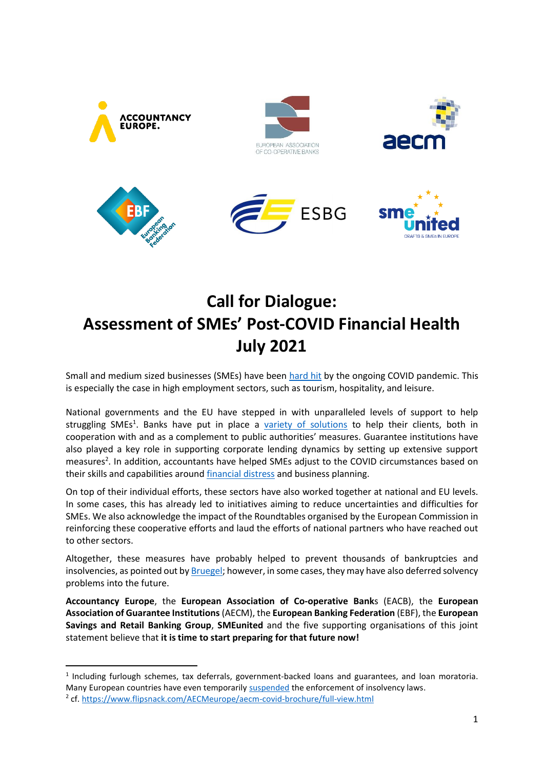

## **Call for Dialogue: Assessment of SMEs' Post-COVID Financial Health July 2021**

Small and medium sized businesses (SMEs) have been [hard hit](https://www.smeunited.eu/admin/storage/smeunited/20210315-barometer-21h1.pdf) by the ongoing COVID pandemic. This is especially the case in high employment sectors, such as tourism, hospitality, and leisure.

National governments and the EU have stepped in with unparalleled levels of support to help struggling SMEs<sup>1</sup>. Banks have put in place a [variety of solutions](https://www.ebf.eu/covid-19/) to help their clients, both in cooperation with and as a complement to public authorities' measures. Guarantee institutions have also played a key role in supporting corporate lending dynamics by setting up extensive support measures<sup>2</sup>. In addition, accountants have helped SMEs adjust to the COVID circumstances based on their skills and capabilities around [financial distress](https://www.accountancyeurope.eu/publications/sme-risk-management-insolvency/) and business planning.

On top of their individual efforts, these sectors have also worked together at national and EU levels. In some cases, this has already led to initiatives aiming to reduce uncertainties and difficulties for SMEs. We also acknowledge the impact of the Roundtables organised by the European Commission in reinforcing these cooperative efforts and laud the efforts of national partners who have reached out to other sectors.

Altogether, these measures have probably helped to prevent thousands of bankruptcies and insolvencies, as pointed out b[y Bruegel;](https://www.bruegel.org/2021/03/new-eu-insolvency-rules-could-underpin-business-rescue-in-the-covid-19-aftermath/) however, in some cases, they may have also deferred solvency problems into the future.

**Accountancy Europe**, the **European Association of Co-operative Bank**s (EACB), the **European Association of Guarantee Institutions** (AECM), the **European Banking Federation** (EBF), the **European Savings and Retail Banking Group**, **SMEunited** and the five supporting organisations of this joint statement believe that **it is time to start preparing for that future now!**

<sup>&</sup>lt;sup>1</sup> Including furlough schemes, tax deferrals, government-backed loans and guarantees, and loan moratoria. Many European countries have even temporarily [suspended](https://e-justice.europa.eu/fileDownload.do?id=38384e99-f04c-4bd5-a637-336ad6fddca0) the enforcement of insolvency laws. 2 cf[. https://www.flipsnack.com/AECMeurope/aecm-covid-brochure/full-view.html](https://www.flipsnack.com/AECMeurope/aecm-covid-brochure/full-view.html)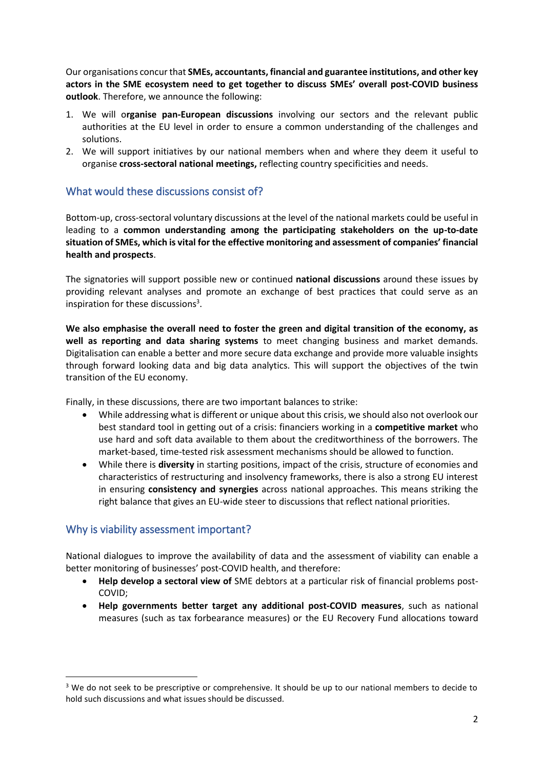Our organisations concur that **SMEs, accountants, financial and guarantee institutions, and other key actors in the SME ecosystem need to get together to discuss SMEs' overall post-COVID business outlook**. Therefore, we announce the following:

- 1. We will o**rganise pan-European discussions** involving our sectors and the relevant public authorities at the EU level in order to ensure a common understanding of the challenges and solutions.
- 2. We will support initiatives by our national members when and where they deem it useful to organise **cross-sectoral national meetings,** reflecting country specificities and needs.

## What would these discussions consist of?

Bottom-up, cross-sectoral voluntary discussions at the level of the national markets could be useful in leading to a **common understanding among the participating stakeholders on the up-to-date situation of SMEs, which is vital for the effective monitoring and assessment of companies' financial health and prospects**.

The signatories will support possible new or continued **national discussions** around these issues by providing relevant analyses and promote an exchange of best practices that could serve as an inspiration for these discussions<sup>3</sup>.

**We also emphasise the overall need to foster the green and digital transition of the economy, as well as reporting and data sharing systems** to meet changing business and market demands. Digitalisation can enable a better and more secure data exchange and provide more valuable insights through forward looking data and big data analytics. This will support the objectives of the twin transition of the EU economy.

Finally, in these discussions, there are two important balances to strike:

- While addressing what is different or unique about this crisis, we should also not overlook our best standard tool in getting out of a crisis: financiers working in a **competitive market** who use hard and soft data available to them about the creditworthiness of the borrowers. The market-based, time-tested risk assessment mechanisms should be allowed to function.
- While there is **diversity** in starting positions, impact of the crisis, structure of economies and characteristics of restructuring and insolvency frameworks, there is also a strong EU interest in ensuring **consistency and synergies** across national approaches. This means striking the right balance that gives an EU-wide steer to discussions that reflect national priorities.

## Why is viability assessment important?

National dialogues to improve the availability of data and the assessment of viability can enable a better monitoring of businesses' post-COVID health, and therefore:

- **Help develop a sectoral view of** SME debtors at a particular risk of financial problems post-COVID;
- **Help governments better target any additional post-COVID measures**, such as national measures (such as tax forbearance measures) or the EU Recovery Fund allocations toward

<sup>&</sup>lt;sup>3</sup> We do not seek to be prescriptive or comprehensive. It should be up to our national members to decide to hold such discussions and what issues should be discussed.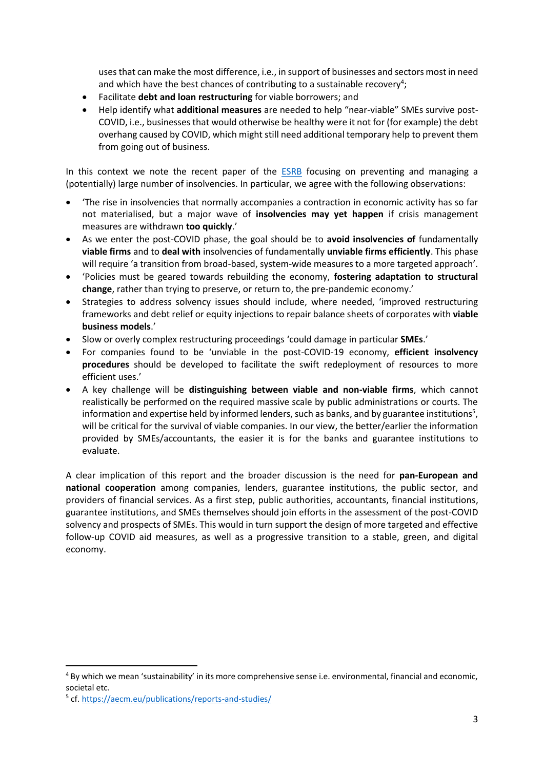uses that can make the most difference, i.e., in support of businesses and sectors most in need and which have the best chances of contributing to a sustainable recovery<sup>4</sup>;

- Facilitate **debt and loan restructuring** for viable borrowers; and
- Help identify what **additional measures** are needed to help "near-viable" SMEs survive post-COVID, i.e., businesses that would otherwise be healthy were it not for (for example) the debt overhang caused by COVID, which might still need additional temporary help to prevent them from going out of business.

In this context we note the recent paper of the **[ESRB](https://www.esrb.europa.eu/pub/pdf/reports/esrb.report210428_PreventionAndManagementOfALargeNumberOfCorporateInsolvencies~cf33e0285f.en.pdf?351f85b1f1648308508846cc8c4dd0bf)** focusing on preventing and managing a (potentially) large number of insolvencies. In particular, we agree with the following observations:

- 'The rise in insolvencies that normally accompanies a contraction in economic activity has so far not materialised, but a major wave of **insolvencies may yet happen** if crisis management measures are withdrawn **too quickly**.'
- As we enter the post-COVID phase, the goal should be to **avoid insolvencies of** fundamentally **viable firms** and to **deal with** insolvencies of fundamentally **unviable firms efficiently**. This phase will require 'a transition from broad-based, system-wide measures to a more targeted approach'.
- 'Policies must be geared towards rebuilding the economy, **fostering adaptation to structural change**, rather than trying to preserve, or return to, the pre-pandemic economy.'
- Strategies to address solvency issues should include, where needed, 'improved restructuring frameworks and debt relief or equity injections to repair balance sheets of corporates with **viable business models**.'
- Slow or overly complex restructuring proceedings 'could damage in particular **SMEs**.'
- For companies found to be 'unviable in the post-COVID-19 economy, **efficient insolvency procedures** should be developed to facilitate the swift redeployment of resources to more efficient uses.'
- A key challenge will be **distinguishing between viable and non-viable firms**, which cannot realistically be performed on the required massive scale by public administrations or courts. The information and expertise held by informed lenders, such as banks, and by guarantee institutions<sup>5</sup>, will be critical for the survival of viable companies. In our view, the better/earlier the information provided by SMEs/accountants, the easier it is for the banks and guarantee institutions to evaluate.

A clear implication of this report and the broader discussion is the need for **pan-European and national cooperation** among companies, lenders, guarantee institutions, the public sector, and providers of financial services. As a first step, public authorities, accountants, financial institutions, guarantee institutions, and SMEs themselves should join efforts in the assessment of the post-COVID solvency and prospects of SMEs. This would in turn support the design of more targeted and effective follow-up COVID aid measures, as well as a progressive transition to a stable, green, and digital economy.

<sup>&</sup>lt;sup>4</sup> By which we mean 'sustainability' in its more comprehensive sense i.e. environmental, financial and economic, societal etc.

<sup>5</sup> cf[. https://aecm.eu/publications/reports-and-studies/](https://aecm.eu/publications/reports-and-studies/)